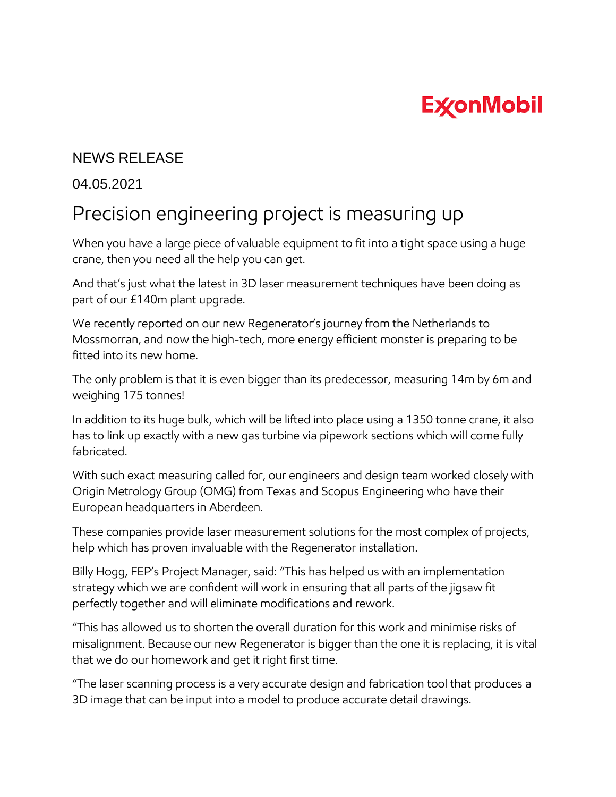## **ExconMobil**

## NEWS RELEASE

## 04.05.2021

## Precision engineering project is measuring up

When you have a large piece of valuable equipment to fit into a tight space using a huge crane, then you need all the help you can get.

And that's just what the latest in 3D laser measurement techniques have been doing as part of our £140m plant upgrade.

We recently reported on our new Regenerator's journey from the Netherlands to Mossmorran, and now the high-tech, more energy efficient monster is preparing to be fitted into its new home.

The only problem is that it is even bigger than its predecessor, measuring 14m by 6m and weighing 175 tonnes!

In addition to its huge bulk, which will be lifted into place using a 1350 tonne crane, it also has to link up exactly with a new gas turbine via pipework sections which will come fully fabricated.

With such exact measuring called for, our engineers and design team worked closely with Origin Metrology Group (OMG) from Texas and Scopus Engineering who have their European headquarters in Aberdeen.

These companies provide laser measurement solutions for the most complex of projects, help which has proven invaluable with the Regenerator installation.

Billy Hogg, FEP's Project Manager, said: "This has helped us with an implementation strategy which we are confident will work in ensuring that all parts of the jigsaw fit perfectly together and will eliminate modifications and rework.

"This has allowed us to shorten the overall duration for this work and minimise risks of misalignment. Because our new Regenerator is bigger than the one it is replacing, it is vital that we do our homework and get it right first time.

"The laser scanning process is a very accurate design and fabrication tool that produces a 3D image that can be input into a model to produce accurate detail drawings.